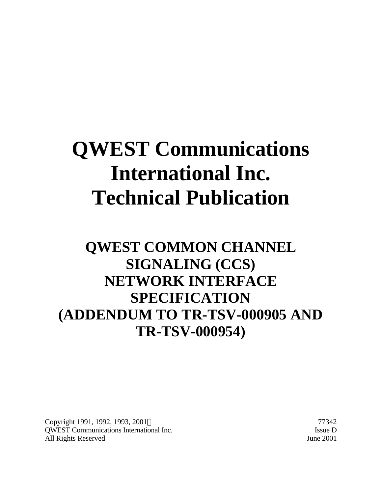# **QWEST Communications International Inc. Technical Publication**

# **QWEST COMMON CHANNEL SIGNALING (CCS) NETWORK INTERFACE SPECIFICATION (ADDENDUM TO TR-TSV-000905 AND TR-TSV-000954)**

Copyright 1991, 1992, 1993, 2001 © 77342 QWEST Communications International Inc. Issue D All Rights Reserved June 2001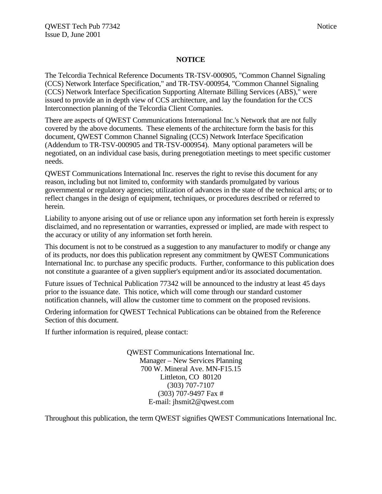#### **NOTICE**

The Telcordia Technical Reference Documents TR-TSV-000905, "Common Channel Signaling (CCS) Network Interface Specification," and TR-TSV-000954, "Common Channel Signaling (CCS) Network Interface Specification Supporting Alternate Billing Services (ABS)," were issued to provide an in depth view of CCS architecture, and lay the foundation for the CCS Interconnection planning of the Telcordia Client Companies.

There are aspects of QWEST Communications International Inc.'s Network that are not fully covered by the above documents. These elements of the architecture form the basis for this document, QWEST Common Channel Signaling (CCS) Network Interface Specification (Addendum to TR-TSV-000905 and TR-TSV-000954). Many optional parameters will be negotiated, on an individual case basis, during prenegotiation meetings to meet specific customer needs.

QWEST Communications International Inc. reserves the right to revise this document for any reason, including but not limited to, conformity with standards promulgated by various governmental or regulatory agencies; utilization of advances in the state of the technical arts; or to reflect changes in the design of equipment, techniques, or procedures described or referred to herein.

Liability to anyone arising out of use or reliance upon any information set forth herein is expressly disclaimed, and no representation or warranties, expressed or implied, are made with respect to the accuracy or utility of any information set forth herein.

This document is not to be construed as a suggestion to any manufacturer to modify or change any of its products, nor does this publication represent any commitment by QWEST Communications International Inc. to purchase any specific products. Further, conformance to this publication does not constitute a guarantee of a given supplier's equipment and/or its associated documentation.

Future issues of Technical Publication 77342 will be announced to the industry at least 45 days prior to the issuance date. This notice, which will come through our standard customer notification channels, will allow the customer time to comment on the proposed revisions.

Ordering information for QWEST Technical Publications can be obtained from the Reference Section of this document.

If further information is required, please contact:

QWEST Communications International Inc. Manager – New Services Planning 700 W. Mineral Ave. MN-F15.15 Littleton, CO 80120 (303) 707-7107 (303) 707-9497 Fax # E-mail: jhsmit2@qwest.com

Throughout this publication, the term QWEST signifies QWEST Communications International Inc.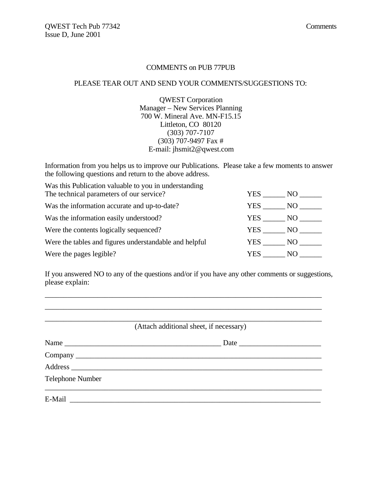#### COMMENTS on PUB 77PUB

#### PLEASE TEAR OUT AND SEND YOUR COMMENTS/SUGGESTIONS TO:

QWEST Corporation Manager – New Services Planning 700 W. Mineral Ave. MN-F15.15 Littleton, CO 80120 (303) 707-7107 (303) 707-9497 Fax # E-mail: jhsmit2@qwest.com

Information from you helps us to improve our Publications. Please take a few moments to answer the following questions and return to the above address.

| NO -                   |
|------------------------|
|                        |
| YES<br>NO              |
| YES NO                 |
| NO -<br>YES            |
| NO -                   |
| YES<br>NO <sub>1</sub> |
|                        |

If you answered NO to any of the questions and/or if you have any other comments or suggestions, please explain:

\_\_\_\_\_\_\_\_\_\_\_\_\_\_\_\_\_\_\_\_\_\_\_\_\_\_\_\_\_\_\_\_\_\_\_\_\_\_\_\_\_\_\_\_\_\_\_\_\_\_\_\_\_\_\_\_\_\_\_\_\_\_\_\_\_\_\_\_\_\_\_\_\_\_ \_\_\_\_\_\_\_\_\_\_\_\_\_\_\_\_\_\_\_\_\_\_\_\_\_\_\_\_\_\_\_\_\_\_\_\_\_\_\_\_\_\_\_\_\_\_\_\_\_\_\_\_\_\_\_\_\_\_\_\_\_\_\_\_\_\_\_\_\_\_\_\_\_\_

| (Attach additional sheet, if necessary) |      |  |
|-----------------------------------------|------|--|
| Name                                    | Date |  |
|                                         |      |  |
|                                         |      |  |
| <b>Telephone Number</b>                 |      |  |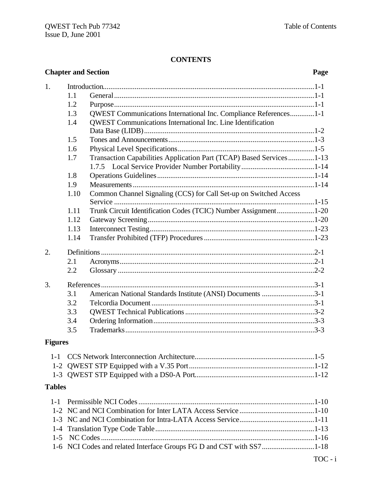# **CONTENTS**

|                | <b>Chapter and Section</b><br>Page                                   |                                                                     |  |  |  |  |
|----------------|----------------------------------------------------------------------|---------------------------------------------------------------------|--|--|--|--|
| 1.             |                                                                      |                                                                     |  |  |  |  |
|                | 1.1                                                                  |                                                                     |  |  |  |  |
|                | 1.2                                                                  |                                                                     |  |  |  |  |
|                | 1.3                                                                  | QWEST Communications International Inc. Compliance References1-1    |  |  |  |  |
|                | 1.4                                                                  | QWEST Communications International Inc. Line Identification         |  |  |  |  |
|                |                                                                      |                                                                     |  |  |  |  |
|                | 1.5                                                                  |                                                                     |  |  |  |  |
|                | 1.6                                                                  |                                                                     |  |  |  |  |
|                | 1.7                                                                  | Transaction Capabilities Application Part (TCAP) Based Services1-13 |  |  |  |  |
|                |                                                                      |                                                                     |  |  |  |  |
|                | 1.8                                                                  |                                                                     |  |  |  |  |
|                | 1.9                                                                  |                                                                     |  |  |  |  |
|                | 1.10                                                                 | Common Channel Signaling (CCS) for Call Set-up on Switched Access   |  |  |  |  |
|                | 1.11                                                                 | Trunk Circuit Identification Codes (TCIC) Number Assignment1-20     |  |  |  |  |
|                | 1.12                                                                 |                                                                     |  |  |  |  |
|                | 1.13                                                                 |                                                                     |  |  |  |  |
|                | 1.14                                                                 |                                                                     |  |  |  |  |
| 2.             |                                                                      |                                                                     |  |  |  |  |
|                | 2.1                                                                  |                                                                     |  |  |  |  |
|                | 2.2                                                                  |                                                                     |  |  |  |  |
| 3.             |                                                                      |                                                                     |  |  |  |  |
|                | 3.1                                                                  | American National Standards Institute (ANSI) Documents 3-1          |  |  |  |  |
|                | 3.2                                                                  |                                                                     |  |  |  |  |
|                | 3.3                                                                  |                                                                     |  |  |  |  |
|                | 3.4                                                                  |                                                                     |  |  |  |  |
|                | 3.5                                                                  |                                                                     |  |  |  |  |
| <b>Figures</b> |                                                                      |                                                                     |  |  |  |  |
| $1 - 1$        |                                                                      |                                                                     |  |  |  |  |
|                |                                                                      |                                                                     |  |  |  |  |
|                |                                                                      |                                                                     |  |  |  |  |
| <b>Tables</b>  |                                                                      |                                                                     |  |  |  |  |
| $1 - 1$        |                                                                      |                                                                     |  |  |  |  |
|                |                                                                      |                                                                     |  |  |  |  |
|                |                                                                      |                                                                     |  |  |  |  |
| $1-4$          |                                                                      |                                                                     |  |  |  |  |
| $1 - 5$        |                                                                      |                                                                     |  |  |  |  |
|                | 1-6 NCI Codes and related Interface Groups FG D and CST with SS71-18 |                                                                     |  |  |  |  |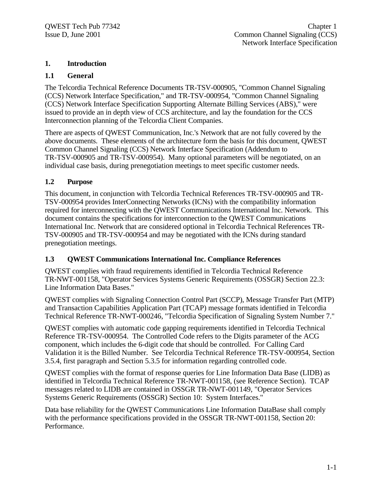#### **1. Introduction**

#### **1.1 General**

The Telcordia Technical Reference Documents TR-TSV-000905, "Common Channel Signaling (CCS) Network Interface Specification," and TR-TSV-000954, "Common Channel Signaling (CCS) Network Interface Specification Supporting Alternate Billing Services (ABS)," were issued to provide an in depth view of CCS architecture, and lay the foundation for the CCS Interconnection planning of the Telcordia Client Companies.

There are aspects of QWEST Communication, Inc.'s Network that are not fully covered by the above documents. These elements of the architecture form the basis for this document, QWEST Common Channel Signaling (CCS) Network Interface Specification (Addendum to TR-TSV-000905 and TR-TSV-000954). Many optional parameters will be negotiated, on an individual case basis, during prenegotiation meetings to meet specific customer needs.

#### **1.2 Purpose**

This document, in conjunction with Telcordia Technical References TR-TSV-000905 and TR-TSV-000954 provides InterConnecting Networks (ICNs) with the compatibility information required for interconnecting with the QWEST Communications International Inc. Network. This document contains the specifications for interconnection to the QWEST Communications International Inc. Network that are considered optional in Telcordia Technical References TR-TSV-000905 and TR-TSV-000954 and may be negotiated with the ICNs during standard prenegotiation meetings.

#### **1.3 QWEST Communications International Inc. Compliance References**

QWEST complies with fraud requirements identified in Telcordia Technical Reference TR-NWT-001158, "Operator Services Systems Generic Requirements (OSSGR) Section 22.3: Line Information Data Bases."

QWEST complies with Signaling Connection Control Part (SCCP), Message Transfer Part (MTP) and Transaction Capabilities Application Part (TCAP) message formats identified in Telcordia Technical Reference TR-NWT-000246, "Telcordia Specification of Signaling System Number 7."

QWEST complies with automatic code gapping requirements identified in Telcordia Technical Reference TR-TSV-000954. The Controlled Code refers to the Digits parameter of the ACG component, which includes the 6-digit code that should be controlled. For Calling Card Validation it is the Billed Number. See Telcordia Technical Reference TR-TSV-000954, Section 3.5.4, first paragraph and Section 5.3.5 for information regarding controlled code.

QWEST complies with the format of response queries for Line Information Data Base (LIDB) as identified in Telcordia Technical Reference TR-NWT-001158, (see Reference Section). TCAP messages related to LIDB are contained in OSSGR TR-NWT-001149, "Operator Services Systems Generic Requirements (OSSGR) Section 10: System Interfaces."

Data base reliability for the QWEST Communications Line Information DataBase shall comply with the performance specifications provided in the OSSGR TR-NWT-001158, Section 20: Performance.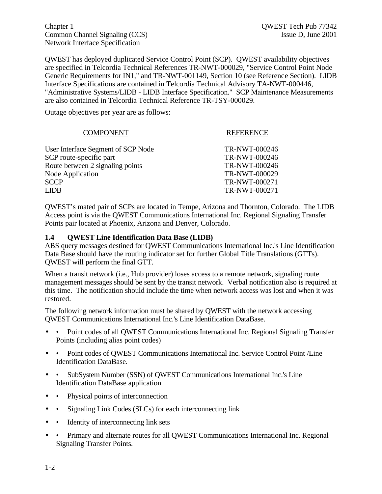Chapter 1 QWEST Tech Pub 77342 Common Channel Signaling (CCS) Issue D, June 2001 Network Interface Specification

QWEST has deployed duplicated Service Control Point (SCP). QWEST availability objectives are specified in Telcordia Technical References TR-NWT-000029, "Service Control Point Node Generic Requirements for IN1," and TR-NWT-001149, Section 10 (see Reference Section). LIDB Interface Specifications are contained in Telcordia Technical Advisory TA-NWT-000446, "Administrative Systems/LIDB - LIDB Interface Specification." SCP Maintenance Measurements are also contained in Telcordia Technical Reference TR-TSY-000029.

Outage objectives per year are as follows:

| <b>COMPONENT</b>                   | <b>REFERENCE</b> |
|------------------------------------|------------------|
| User Interface Segment of SCP Node | TR-NWT-000246    |
| SCP route-specific part            | TR-NWT-000246    |
| Route between 2 signaling points   | TR-NWT-000246    |
| <b>Node Application</b>            | TR-NWT-000029    |
| <b>SCCP</b>                        | TR-NWT-000271    |
| I JDB                              | TR-NWT-000271    |
|                                    |                  |

QWEST's mated pair of SCPs are located in Tempe, Arizona and Thornton, Colorado. The LIDB Access point is via the QWEST Communications International Inc. Regional Signaling Transfer Points pair located at Phoenix, Arizona and Denver, Colorado.

#### **1.4 QWEST Line Identification Data Base (LIDB)**

ABS query messages destined for QWEST Communications International Inc.'s Line Identification Data Base should have the routing indicator set for further Global Title Translations (GTTs). QWEST will perform the final GTT.

When a transit network (i.e., Hub provider) loses access to a remote network, signaling route management messages should be sent by the transit network. Verbal notification also is required at this time. The notification should include the time when network access was lost and when it was restored.

The following network information must be shared by QWEST with the network accessing QWEST Communications International Inc.'s Line Identification DataBase.

- • Point codes of all QWEST Communications International Inc. Regional Signaling Transfer Points (including alias point codes)
- • Point codes of QWEST Communications International Inc. Service Control Point / Line Identification DataBase.
- • SubSystem Number (SSN) of OWEST Communications International Inc.'s Line Identification DataBase application
- Physical points of interconnection
- • Signaling Link Codes (SLCs) for each interconnecting link
- • Identity of interconnecting link sets
- • Primary and alternate routes for all QWEST Communications International Inc. Regional Signaling Transfer Points.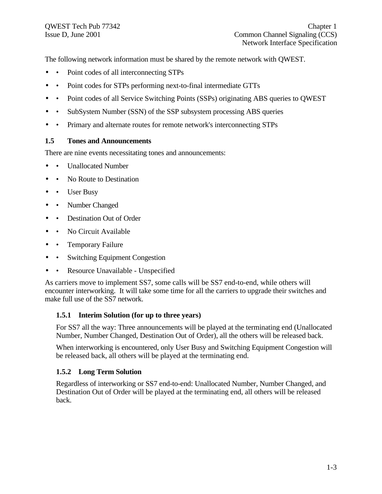The following network information must be shared by the remote network with QWEST.

- • Point codes of all interconnecting STPs
- Point codes for STPs performing next-to-final intermediate GTTs
- Point codes of all Service Switching Points (SSPs) originating ABS queries to QWEST
- SubSystem Number (SSN) of the SSP subsystem processing ABS queries
- • Primary and alternate routes for remote network's interconnecting STPs

#### **1.5 Tones and Announcements**

There are nine events necessitating tones and announcements:

- Unallocated Number
- No Route to Destination
- User Busy
- Number Changed
- Destination Out of Order
- No Circuit Available
- Temporary Failure
- Switching Equipment Congestion
- Resource Unavailable Unspecified

As carriers move to implement SS7, some calls will be SS7 end-to-end, while others will encounter interworking. It will take some time for all the carriers to upgrade their switches and make full use of the SS7 network.

#### **1.5.1 Interim Solution (for up to three years)**

For SS7 all the way: Three announcements will be played at the terminating end (Unallocated Number, Number Changed, Destination Out of Order), all the others will be released back.

When interworking is encountered, only User Busy and Switching Equipment Congestion will be released back, all others will be played at the terminating end.

#### **1.5.2 Long Term Solution**

Regardless of interworking or SS7 end-to-end: Unallocated Number, Number Changed, and Destination Out of Order will be played at the terminating end, all others will be released back.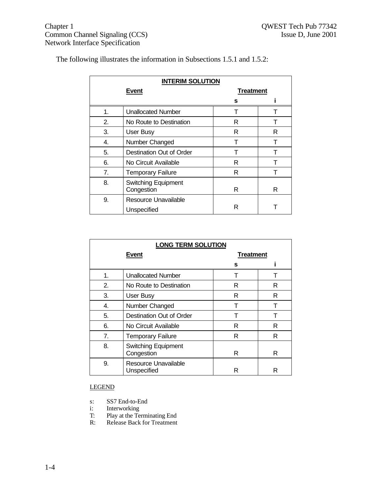|  |  | The following illustrates the information in Subsections 1.5.1 and 1.5.2: |  |  |
|--|--|---------------------------------------------------------------------------|--|--|
|  |  |                                                                           |  |  |

| <b>INTERIM SOLUTION</b> |                                          |                  |   |  |  |
|-------------------------|------------------------------------------|------------------|---|--|--|
|                         | Event                                    | <b>Treatment</b> |   |  |  |
|                         |                                          | s                |   |  |  |
| 1.                      | <b>Unallocated Number</b>                |                  |   |  |  |
| 2.                      | No Route to Destination                  | R                |   |  |  |
| 3.                      | User Busy                                | R                | R |  |  |
| 4.                      | Number Changed                           | т                |   |  |  |
| 5.                      | Destination Out of Order                 |                  |   |  |  |
| 6.                      | No Circuit Available                     | R                |   |  |  |
| 7.                      | <b>Temporary Failure</b>                 | R                |   |  |  |
| 8.                      | <b>Switching Equipment</b><br>Congestion | R                |   |  |  |
| 9.                      | Resource Unavailable<br>Unspecified      | R                |   |  |  |

| <b>LONG TERM SOLUTION</b> |                                               |                  |   |  |
|---------------------------|-----------------------------------------------|------------------|---|--|
|                           | <b>Event</b>                                  | <b>Treatment</b> |   |  |
|                           |                                               | s                |   |  |
| 1.                        | <b>Unallocated Number</b>                     |                  |   |  |
| 2.                        | No Route to Destination                       | R                | R |  |
| 3.                        | User Busy                                     | R                | R |  |
| 4.                        | Number Changed                                | т                | т |  |
| 5.                        | Destination Out of Order                      |                  |   |  |
| 6.                        | R<br>No Circuit Available                     |                  |   |  |
| 7.                        | <b>Temporary Failure</b>                      | R                | R |  |
| 8.                        | <b>Switching Equipment</b><br>Congestion<br>R |                  |   |  |
| 9.                        | Resource Unavailable<br>Unspecified           | R                | R |  |

LEGEND

- s: SS7 End-to-End<br>i: Interworking
- i: Interworking
- T: Play at the Terminating End
- R: Release Back for Treatment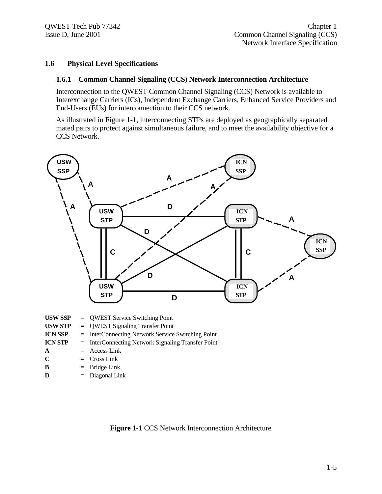#### **1.6 Physical Level Specifications**

#### **1.6.1 Common Channel Signaling (CCS) Network Interconnection Architecture**

Interconnection to the QWEST Common Channel Signaling (CCS) Network is available to Interexchange Carriers (ICs), Independent Exchange Carriers, Enhanced Service Providers and End-Users (EUs) for interconnection to their CCS network.

As illustrated in Figure 1-1, interconnecting STPs are deployed as geographically separated mated pairs to protect against simultaneous failure, and to meet the availability objective for a CCS Network.



| <b>USW STP</b> | $=$ QWEST Signaling Transfer Point                   |
|----------------|------------------------------------------------------|
| <b>ICN SSP</b> | $=$ InterConnecting Network Service Switching Point  |
| <b>ICN STP</b> | $=$ InterConnecting Network Signaling Transfer Point |
| A              | $=$ Access Link                                      |
| $\mathbf C$    | $=$ Cross Link                                       |
| - B            | $=$ Bridge Link                                      |
|                | $\equiv$ Discover Link                               |

 $\mathbf{D}$  = Diagonal Link

**Figure 1-1** CCS Network Interconnection Architecture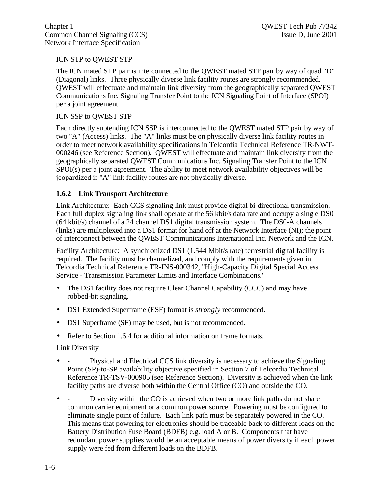#### ICN STP to QWEST STP

The ICN mated STP pair is interconnected to the QWEST mated STP pair by way of quad "D" (Diagonal) links. Three physically diverse link facility routes are strongly recommended. QWEST will effectuate and maintain link diversity from the geographically separated QWEST Communications Inc. Signaling Transfer Point to the ICN Signaling Point of Interface (SPOI) per a joint agreement.

#### ICN SSP to QWEST STP

Each directly subtending ICN SSP is interconnected to the QWEST mated STP pair by way of two "A" (Access) links. The "A" links must be on physically diverse link facility routes in order to meet network availability specifications in Telcordia Technical Reference TR-NWT-000246 (see Reference Section). QWEST will effectuate and maintain link diversity from the geographically separated QWEST Communications Inc. Signaling Transfer Point to the ICN SPOI(s) per a joint agreement. The ability to meet network availability objectives will be jeopardized if "A" link facility routes are not physically diverse.

#### **1.6.2 Link Transport Architecture**

Link Architecture: Each CCS signaling link must provide digital bi-directional transmission. Each full duplex signaling link shall operate at the 56 kbit/s data rate and occupy a single DS0 (64 kbit/s) channel of a 24 channel DS1 digital transmission system. The DS0-A channels (links) are multiplexed into a DS1 format for hand off at the Network Interface (NI); the point of interconnect between the QWEST Communications International Inc. Network and the ICN.

Facility Architecture: A synchronized DS1 (1.544 Mbit/s rate) terrestrial digital facility is required. The facility must be channelized, and comply with the requirements given in Telcordia Technical Reference TR-INS-000342, "High-Capacity Digital Special Access Service - Transmission Parameter Limits and Interface Combinations."

- The DS1 facility does not require Clear Channel Capability (CCC) and may have robbed-bit signaling.
- DS1 Extended Superframe (ESF) format is *strongly* recommended.
- DS1 Superframe (SF) may be used, but is not recommended.
- Refer to Section 1.6.4 for additional information on frame formats.

#### Link Diversity

- Physical and Electrical CCS link diversity is necessary to achieve the Signaling Point (SP)-to-SP availability objective specified in Section 7 of Telcordia Technical Reference TR-TSV-000905 (see Reference Section). Diversity is achieved when the link facility paths are diverse both within the Central Office (CO) and outside the CO.
- - Diversity within the CO is achieved when two or more link paths do not share common carrier equipment or a common power source. Powering must be configured to eliminate single point of failure. Each link path must be separately powered in the CO. This means that powering for electronics should be traceable back to different loads on the Battery Distribution Fuse Board (BDFB) e.g. load A or B. Components that have redundant power supplies would be an acceptable means of power diversity if each power supply were fed from different loads on the BDFB.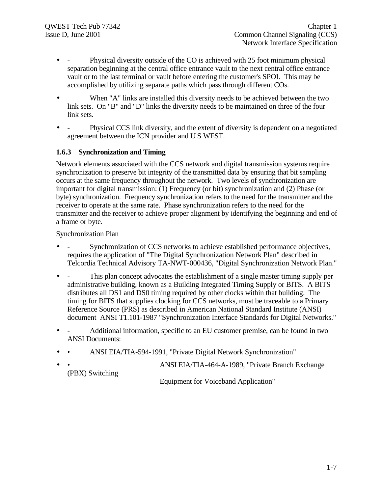- - Physical diversity outside of the CO is achieved with 25 foot minimum physical separation beginning at the central office entrance vault to the next central office entrance vault or to the last terminal or vault before entering the customer's SPOI. This may be accomplished by utilizing separate paths which pass through different COs.
- When "A" links are installed this diversity needs to be achieved between the two link sets. On "B" and "D" links the diversity needs to be maintained on three of the four link sets.
- Physical CCS link diversity, and the extent of diversity is dependent on a negotiated agreement between the ICN provider and U S WEST.

# **1.6.3 Synchronization and Timing**

Network elements associated with the CCS network and digital transmission systems require synchronization to preserve bit integrity of the transmitted data by ensuring that bit sampling occurs at the same frequency throughout the network. Two levels of synchronization are important for digital transmission: (1) Frequency (or bit) synchronization and (2) Phase (or byte) synchronization. Frequency synchronization refers to the need for the transmitter and the receiver to operate at the same rate. Phase synchronization refers to the need for the transmitter and the receiver to achieve proper alignment by identifying the beginning and end of a frame or byte.

#### Synchronization Plan

- Synchronization of CCS networks to achieve established performance objectives, requires the application of "The Digital Synchronization Network Plan" described in Telcordia Technical Advisory TA-NWT-000436, "Digital Synchronization Network Plan."
- This plan concept advocates the establishment of a single master timing supply per administrative building, known as a Building Integrated Timing Supply or BITS. A BITS distributes all DS1 and DS0 timing required by other clocks within that building. The timing for BITS that supplies clocking for CCS networks, must be traceable to a Primary Reference Source (PRS) as described in American National Standard Institute (ANSI) document ANSI T1.101-1987 "Synchronization Interface Standards for Digital Networks."
- - Additional information, specific to an EU customer premise, can be found in two ANSI Documents:
- • ANSI EIA/TIA-594-1991, "Private Digital Network Synchronization"
- • ANSI EIA/TIA-464-A-1989, "Private Branch Exchange (PBX) Switching

Equipment for Voiceband Application"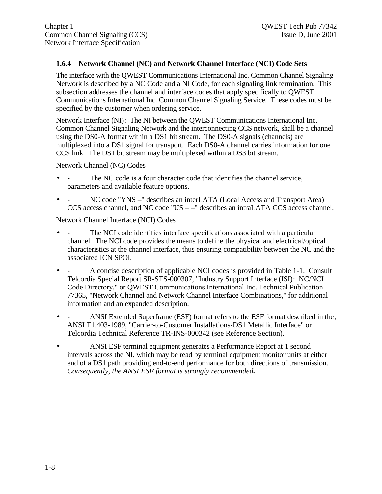# **1.6.4 Network Channel (NC) and Network Channel Interface (NCI) Code Sets**

The interface with the QWEST Communications International Inc. Common Channel Signaling Network is described by a NC Code and a NI Code, for each signaling link termination. This subsection addresses the channel and interface codes that apply specifically to QWEST Communications International Inc. Common Channel Signaling Service. These codes must be specified by the customer when ordering service.

Network Interface (NI): The NI between the QWEST Communications International Inc. Common Channel Signaling Network and the interconnecting CCS network, shall be a channel using the DS0-A format within a DS1 bit stream. The DS0-A signals (channels) are multiplexed into a DS1 signal for transport. Each DS0-A channel carries information for one CCS link. The DS1 bit stream may be multiplexed within a DS3 bit stream.

Network Channel (NC) Codes

- - The NC code is a four character code that identifies the channel service, parameters and available feature options.
- - NC code "YNS –" describes an interLATA (Local Access and Transport Area) CCS access channel, and NC code "US – –" describes an intraLATA CCS access channel.

Network Channel Interface (NCI) Codes

- The NCI code identifies interface specifications associated with a particular channel. The NCI code provides the means to define the physical and electrical/optical characteristics at the channel interface, thus ensuring compatibility between the NC and the associated ICN SPOI.
- A concise description of applicable NCI codes is provided in Table 1-1. Consult Telcordia Special Report SR-STS-000307, "Industry Support Interface (ISI): NC/NCI Code Directory," or QWEST Communications International Inc. Technical Publication 77365, "Network Channel and Network Channel Interface Combinations," for additional information and an expanded description.
- - ANSI Extended Superframe (ESF) format refers to the ESF format described in the, ANSI T1.403-1989, "Carrier-to-Customer Installations-DS1 Metallic Interface" or Telcordia Technical Reference TR-INS-000342 (see Reference Section).
- ANSI ESF terminal equipment generates a Performance Report at 1 second intervals across the NI, which may be read by terminal equipment monitor units at either end of a DS1 path providing end-to-end performance for both directions of transmission. *Consequently, the ANSI ESF format is strongly recommended.*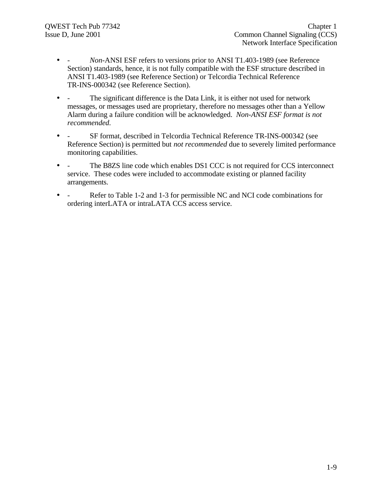- - *Non-*ANSI ESF refers to versions prior to ANSI T1.403-1989 (see Reference Section) standards, hence, it is not fully compatible with the ESF structure described in ANSI T1.403-1989 (see Reference Section) or Telcordia Technical Reference TR-INS-000342 (see Reference Section).
- - The significant difference is the Data Link, it is either not used for network messages, or messages used are proprietary, therefore no messages other than a Yellow Alarm during a failure condition will be acknowledged. *Non-ANSI ESF format is not recommended.*
- - SF format, described in Telcordia Technical Reference TR-INS-000342 (see Reference Section) is permitted but *not recommended* due to severely limited performance monitoring capabilities.
- - The B8ZS line code which enables DS1 CCC is not required for CCS interconnect service. These codes were included to accommodate existing or planned facility arrangements.
- Refer to Table 1-2 and 1-3 for permissible NC and NCI code combinations for ordering interLATA or intraLATA CCS access service.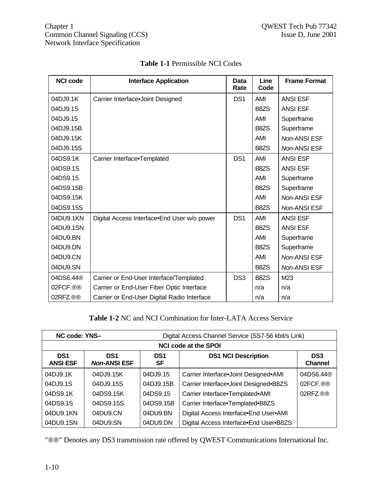| <b>NCI code</b> | <b>Interface Application</b>                | Data<br>Rate    | Line<br>Code      | <b>Frame Format</b> |
|-----------------|---------------------------------------------|-----------------|-------------------|---------------------|
| 04DJ9.1K        | Carrier Interface.Joint Designed            | DS <sub>1</sub> | <b>AMI</b>        | <b>ANSI ESF</b>     |
| 04DJ9.1S        |                                             |                 | B8ZS              | <b>ANSI ESF</b>     |
| 04DJ9.15        |                                             |                 | <b>AMI</b>        | Superframe          |
| 04DJ9.15B       |                                             |                 | B8ZS              | Superframe          |
| 04DJ9.15K       |                                             |                 | <b>AMI</b>        | Non-ANSI ESF        |
| 04DJ9.15S       |                                             |                 | B8ZS              | Non-ANSI ESF        |
| 04DS9.1K        | Carrier Interface.Templated                 | DS <sub>1</sub> | <b>AMI</b>        | <b>ANSI ESF</b>     |
| 04DS9.1S        |                                             |                 | B8ZS              | <b>ANSI ESF</b>     |
| 04DS9.15        |                                             |                 | <b>AMI</b>        | Superframe          |
| 04DS9.15B       |                                             |                 | B <sub>8</sub> ZS | Superframe          |
| 04DS9.15K       |                                             |                 | <b>AMI</b>        | <b>Non-ANSI ESF</b> |
| 04DS9.15S       |                                             |                 | B8ZS              | Non-ANSI ESF        |
| 04DU9.1KN       | Digital Access Interface.End User w/o power | DS <sub>1</sub> | AMI               | <b>ANSI ESF</b>     |
| 04DU9.1SN       |                                             |                 | B8ZS              | <b>ANSI ESF</b>     |
| 04DU9.BN        |                                             |                 | AMI               | Superframe          |
| 04DU9.DN        |                                             |                 | B8ZS              | Superframe          |
| 04DU9.CN        |                                             |                 | <b>AMI</b>        | Non-ANSI ESF        |
| 04DU9.SN        |                                             |                 | B8ZS              | Non-ANSI ESF        |
| 04DS6.44®       | Carrier or End-User Interface/Templated     | DS <sub>3</sub> | B8ZS              | M23                 |
| 02FCF.®®        | Carrier or End-User Fiber Optic Interface   |                 | n/a               | n/a                 |
| 02RFZ.®®        | Carrier or End-User Digital Radio Interface |                 | n/a               | n/a                 |

# **Table 1-1** Permissible NCI Codes

**Table 1-2** NC and NCI Combination for Inter-LATA Access Service

| NC code: YNS-<br>Digital Access Channel Service (SS7-56 kbit/s Link) |                                        |                       |                                        |                                   |  |
|----------------------------------------------------------------------|----------------------------------------|-----------------------|----------------------------------------|-----------------------------------|--|
|                                                                      | <b>NCI code at the SPOI</b>            |                       |                                        |                                   |  |
| DS <sub>1</sub><br><b>ANSI ESF</b>                                   | DS <sub>1</sub><br><b>Non-ANSI ESF</b> | DS <sub>1</sub><br>SF | <b>DS1 NCI Description</b>             | DS <sub>3</sub><br><b>Channel</b> |  |
| 04DJ9.1K                                                             | 04DJ9.15K                              | 04DJ9.15              | Carrier Interface.Joint Designed.AMI   | 04DS6.44®                         |  |
| 04DJ9.1S                                                             | 04DJ9.15S                              | 04DJ9.15B             | Carrier Interface.Joint Designed.B8ZS  | 02FCF.®®                          |  |
| 04DS9.1K                                                             | 04DS9.15K                              | 04DS9.15              | Carrier Interface.Templated.AMI        | 02RFZ.®®                          |  |
| 04DS9.1S                                                             | 04DS9.15S                              | 04DS9.15B             | Carrier Interface.Templated.B8ZS       |                                   |  |
| 04DU9.1KN                                                            | 04DU9.CN                               | 04DU9.BN              | Digital Access Interface End User AMI  |                                   |  |
| 04DU9.1SN                                                            | 04DU9.SN                               | 04DU9.DN              | Digital Access Interface.End User.B8ZS |                                   |  |

"®®" Denotes any DS3 transmission rate offered by QWEST Communications International Inc.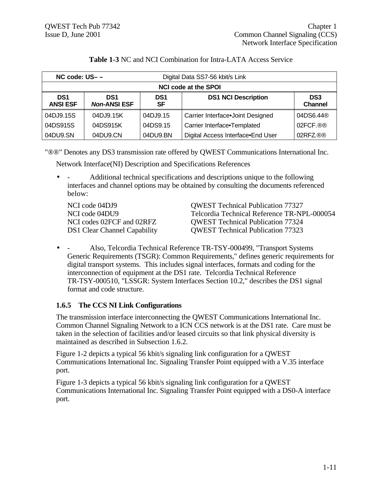| $NC$ code: $US - -$<br>Digital Data SS7-56 kbit/s Link |                                        |                       |                                   |                                   |  |  |
|--------------------------------------------------------|----------------------------------------|-----------------------|-----------------------------------|-----------------------------------|--|--|
|                                                        | <b>NCI code at the SPOI</b>            |                       |                                   |                                   |  |  |
| DS <sub>1</sub><br><b>ANSI ESF</b>                     | DS <sub>1</sub><br><b>Non-ANSI ESF</b> | DS <sub>1</sub><br>SF | <b>DS1 NCI Description</b>        | DS <sub>3</sub><br><b>Channel</b> |  |  |
| 04DJ9.15S                                              | 04DJ9.15K                              | 04DJ9.15              | Carrier Interface.Joint Designed  | 04DS6.44 <sup>®</sup>             |  |  |
| 04DS915S                                               | 04DS915K                               | 04DS9.15              | Carrier Interface.Templated       | 02FCF.®®                          |  |  |
| 04DU9.SN                                               | 04DU9.CN                               | 04DU9.BN              | Digital Access Interface.End User | 02RFZ®®                           |  |  |

#### **Table 1-3** NC and NCI Combination for Intra-LATA Access Service

"®®" Denotes any DS3 transmission rate offered by QWEST Communications International Inc.

Network Interface(NI) Description and Specifications References

• - Additional technical specifications and descriptions unique to the following interfaces and channel options may be obtained by consulting the documents referenced below:

NCI code 04DJ9 QWEST Technical Publication 77327 NCI code 04DU9 Telcordia Technical Reference TR-NPL-000054 NCI codes 02FCF and 02RFZ QWEST Technical Publication 77324 DS1 Clear Channel Capability QWEST Technical Publication 77323

• - Also, Telcordia Technical Reference TR-TSY-000499, "Transport Systems Generic Requirements (TSGR): Common Requirements," defines generic requirements for digital transport systems. This includes signal interfaces, formats and coding for the interconnection of equipment at the DS1 rate. Telcordia Technical Reference TR-TSY-000510, "LSSGR: System Interfaces Section 10.2," describes the DS1 signal format and code structure.

# **1.6.5 The CCS NI Link Configurations**

The transmission interface interconnecting the QWEST Communications International Inc. Common Channel Signaling Network to a ICN CCS network is at the DS1 rate. Care must be taken in the selection of facilities and/or leased circuits so that link physical diversity is maintained as described in Subsection 1.6.2.

Figure 1-2 depicts a typical 56 kbit/s signaling link configuration for a QWEST Communications International Inc. Signaling Transfer Point equipped with a V.35 interface port.

Figure 1-3 depicts a typical 56 kbit/s signaling link configuration for a QWEST Communications International Inc. Signaling Transfer Point equipped with a DS0-A interface port.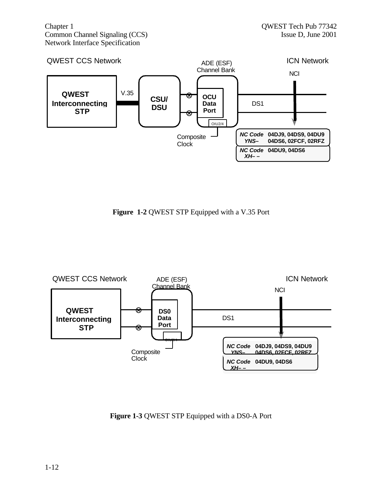Chapter 1 QWEST Tech Pub 77342 Common Channel Signaling (CCS) Issue D, June 2001 Network Interface Specification



**Figure 1-2** QWEST STP Equipped with a V.35 Port



**Figure 1-3** QWEST STP Equipped with a DS0-A Port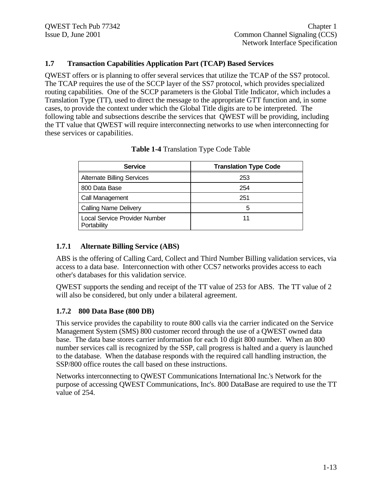#### **1.7 Transaction Capabilities Application Part (TCAP) Based Services**

QWEST offers or is planning to offer several services that utilize the TCAP of the SS7 protocol. The TCAP requires the use of the SCCP layer of the SS7 protocol, which provides specialized routing capabilities. One of the SCCP parameters is the Global Title Indicator, which includes a Translation Type (TT), used to direct the message to the appropriate GTT function and, in some cases, to provide the context under which the Global Title digits are to be interpreted. The following table and subsections describe the services that QWEST will be providing, including the TT value that QWEST will require interconnecting networks to use when interconnecting for these services or capabilities.

| <b>Service</b>                               | <b>Translation Type Code</b> |
|----------------------------------------------|------------------------------|
| <b>Alternate Billing Services</b>            | 253                          |
| 800 Data Base                                | 254                          |
| Call Management                              | 251                          |
| <b>Calling Name Delivery</b>                 | 5                            |
| Local Service Provider Number<br>Portability | 11                           |

| <b>Table 1-4 Translation Type Code Table</b> |  |
|----------------------------------------------|--|
|----------------------------------------------|--|

#### **1.7.1 Alternate Billing Service (ABS)**

ABS is the offering of Calling Card, Collect and Third Number Billing validation services, via access to a data base. Interconnection with other CCS7 networks provides access to each other's databases for this validation service.

QWEST supports the sending and receipt of the TT value of 253 for ABS. The TT value of 2 will also be considered, but only under a bilateral agreement.

#### **1.7.2 800 Data Base (800 DB)**

This service provides the capability to route 800 calls via the carrier indicated on the Service Management System (SMS) 800 customer record through the use of a QWEST owned data base. The data base stores carrier information for each 10 digit 800 number. When an 800 number services call is recognized by the SSP, call progress is halted and a query is launched to the database. When the database responds with the required call handling instruction, the SSP/800 office routes the call based on these instructions.

Networks interconnecting to QWEST Communications International Inc.'s Network for the purpose of accessing QWEST Communications, Inc's. 800 DataBase are required to use the TT value of 254.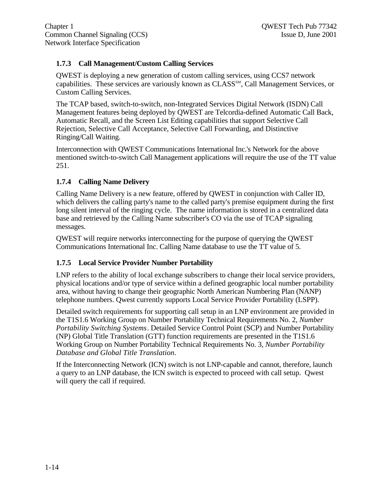# **1.7.3 Call Management/Custom Calling Services**

QWEST is deploying a new generation of custom calling services, using CCS7 network capabilities. These services are variously known as CLASS<sup>SM</sup>, Call Management Services, or Custom Calling Services.

The TCAP based, switch-to-switch, non-Integrated Services Digital Network (ISDN) Call Management features being deployed by QWEST are Telcordia-defined Automatic Call Back, Automatic Recall, and the Screen List Editing capabilities that support Selective Call Rejection, Selective Call Acceptance, Selective Call Forwarding, and Distinctive Ringing/Call Waiting.

Interconnection with QWEST Communications International Inc.'s Network for the above mentioned switch-to-switch Call Management applications will require the use of the TT value 251.

# **1.7.4 Calling Name Delivery**

Calling Name Delivery is a new feature, offered by QWEST in conjunction with Caller ID, which delivers the calling party's name to the called party's premise equipment during the first long silent interval of the ringing cycle. The name information is stored in a centralized data base and retrieved by the Calling Name subscriber's CO via the use of TCAP signaling messages.

QWEST will require networks interconnecting for the purpose of querying the QWEST Communications International Inc. Calling Name database to use the TT value of 5.

# **1.7.5 Local Service Provider Number Portability**

LNP refers to the ability of local exchange subscribers to change their local service providers, physical locations and/or type of service within a defined geographic local number portability area, without having to change their geographic North American Numbering Plan (NANP) telephone numbers. Qwest currently supports Local Service Provider Portability (LSPP).

Detailed switch requirements for supporting call setup in an LNP environment are provided in the T1S1.6 Working Group on Number Portability Technical Requirements No. 2, *Number Portability Switching Systems*. Detailed Service Control Point (SCP) and Number Portability (NP) Global Title Translation (GTT) function requirements are presented in the T1S1.6 Working Group on Number Portability Technical Requirements No. 3, *Number Portability Database and Global Title Translation*.

If the Interconnecting Network (ICN) switch is not LNP-capable and cannot, therefore, launch a query to an LNP database, the ICN switch is expected to proceed with call setup. Qwest will query the call if required.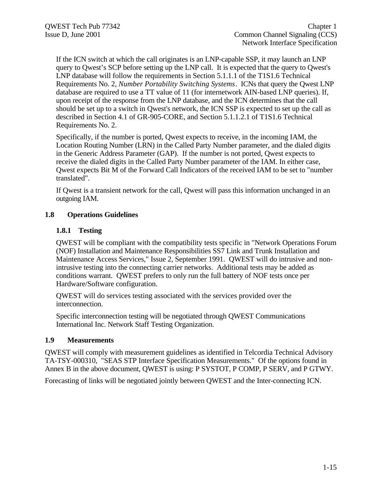If the ICN switch at which the call originates is an LNP-capable SSP, it may launch an LNP query to Qwest's SCP before setting up the LNP call. It is expected that the query to Qwest's LNP database will follow the requirements in Section 5.1.1.1 of the T1S1.6 Technical Requirements No. 2, *Number Portability Switching Systems*. ICNs that query the Qwest LNP database are required to use a TT value of 11 (for internetwork AIN-based LNP queries). If, upon receipt of the response from the LNP database, and the ICN determines that the call should be set up to a switch in Qwest's network, the ICN SSP is expected to set up the call as described in Section 4.1 of GR-905-CORE, and Section 5.1.1.2.1 of T1S1.6 Technical Requirements No. 2.

Specifically, if the number is ported, Qwest expects to receive, in the incoming IAM, the Location Routing Number (LRN) in the Called Party Number parameter, and the dialed digits in the Generic Address Parameter (GAP). If the number is not ported, Qwest expects to receive the dialed digits in the Called Party Number parameter of the IAM. In either case, Qwest expects Bit M of the Forward Call Indicators of the received IAM to be set to "number translated".

If Qwest is a transient network for the call, Qwest will pass this information unchanged in an outgoing IAM.

#### **1.8 Operations Guidelines**

#### **1.8.1 Testing**

QWEST will be compliant with the compatibility tests specific in "Network Operations Forum (NOF) Installation and Maintenance Responsibilities SS7 Link and Trunk Installation and Maintenance Access Services," Issue 2, September 1991. QWEST will do intrusive and nonintrusive testing into the connecting carrier networks. Additional tests may be added as conditions warrant. QWEST prefers to only run the full battery of NOF tests once per Hardware/Software configuration.

QWEST will do services testing associated with the services provided over the interconnection.

Specific interconnection testing will be negotiated through QWEST Communications International Inc. Network Staff Testing Organization.

#### **1.9 Measurements**

QWEST will comply with measurement guidelines as identified in Telcordia Technical Advisory TA-TSY-000310, "SEAS STP Interface Specification Measurements." Of the options found in Annex B in the above document, QWEST is using: P SYSTOT, P COMP, P SERV, and P GTWY.

Forecasting of links will be negotiated jointly between QWEST and the Inter-connecting ICN.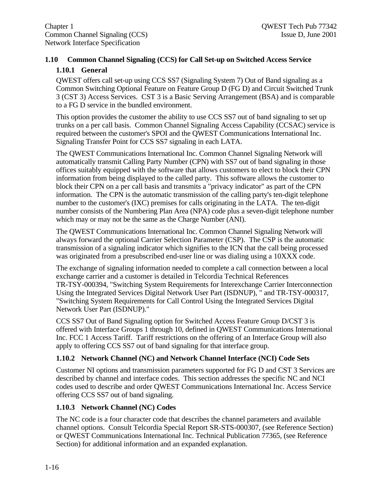# **1.10 Common Channel Signaling (CCS) for Call Set-up on Switched Access Service 1.10.1 General**

QWEST offers call set-up using CCS SS7 (Signaling System 7) Out of Band signaling as a Common Switching Optional Feature on Feature Group D (FG D) and Circuit Switched Trunk 3 (CST 3) Access Services. CST 3 is a Basic Serving Arrangement (BSA) and is comparable to a FG D service in the bundled environment.

This option provides the customer the ability to use CCS SS7 out of band signaling to set up trunks on a per call basis. Common Channel Signaling Access Capability (CCSAC) service is required between the customer's SPOI and the QWEST Communications International Inc. Signaling Transfer Point for CCS SS7 signaling in each LATA.

The QWEST Communications International Inc. Common Channel Signaling Network will automatically transmit Calling Party Number (CPN) with SS7 out of band signaling in those offices suitably equipped with the software that allows customers to elect to block their CPN information from being displayed to the called party. This software allows the customer to block their CPN on a per call basis and transmits a "privacy indicator" as part of the CPN information. The CPN is the automatic transmission of the calling party's ten-digit telephone number to the customer's (IXC) premises for calls originating in the LATA. The ten-digit number consists of the Numbering Plan Area (NPA) code plus a seven-digit telephone number which may or may not be the same as the Charge Number (ANI).

The QWEST Communications International Inc. Common Channel Signaling Network will always forward the optional Carrier Selection Parameter (CSP). The CSP is the automatic transmission of a signaling indicator which signifies to the ICN that the call being processed was originated from a presubscribed end-user line or was dialing using a 10XXX code.

The exchange of signaling information needed to complete a call connection between a local exchange carrier and a customer is detailed in Telcordia Technical References TR-TSY-000394, "Switching System Requirements for Interexchange Carrier Interconnection Using the Integrated Services Digital Network User Part (ISDNUP), " and TR-TSY-000317, "Switching System Requirements for Call Control Using the Integrated Services Digital Network User Part (ISDNUP)."

CCS SS7 Out of Band Signaling option for Switched Access Feature Group D/CST 3 is offered with Interface Groups 1 through 10, defined in QWEST Communications International Inc. FCC 1 Access Tariff. Tariff restrictions on the offering of an Interface Group will also apply to offering CCS SS7 out of band signaling for that interface group.

# **1.10.2 Network Channel (NC) and Network Channel Interface (NCI) Code Sets**

Customer NI options and transmission parameters supported for FG D and CST 3 Services are described by channel and interface codes. This section addresses the specific NC and NCI codes used to describe and order QWEST Communications International Inc. Access Service offering CCS SS7 out of band signaling.

# **1.10.3 Network Channel (NC) Codes**

The NC code is a four character code that describes the channel parameters and available channel options. Consult Telcordia Special Report SR-STS-000307, (see Reference Section) or QWEST Communications International Inc. Technical Publication 77365, (see Reference Section) for additional information and an expanded explanation.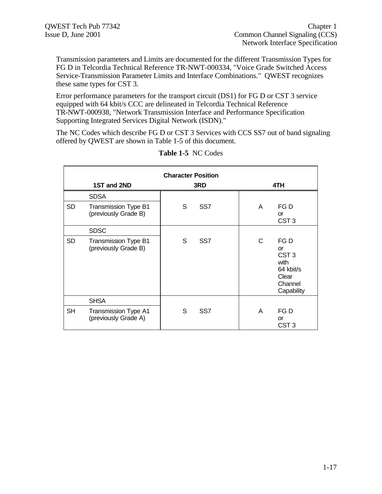Transmission parameters and Limits are documented for the different Transmission Types for FG D in Telcordia Technical Reference TR-NWT-000334, "Voice Grade Switched Access Service-Transmission Parameter Limits and Interface Combinations." QWEST recognizes these same types for CST 3.

Error performance parameters for the transport circuit (DS1) for FG D or CST 3 service equipped with 64 kbit/s CCC are delineated in Telcordia Technical Reference TR-NWT-000938, "Network Transmission Interface and Performance Specification Supporting Integrated Services Digital Network (ISDN)."

The NC Codes which describe FG D or CST 3 Services with CCS SS7 out of band signaling offered by QWEST are shown in Table 1-5 of this document.

|           | <b>Character Position</b>                           |     |                 |   |                                                                                       |  |
|-----------|-----------------------------------------------------|-----|-----------------|---|---------------------------------------------------------------------------------------|--|
|           | 1ST and 2ND                                         | 3RD |                 |   | 4TH                                                                                   |  |
|           | <b>SDSA</b>                                         |     |                 |   |                                                                                       |  |
| <b>SD</b> | Transmission Type B1<br>(previously Grade B)        | S   | SS <sub>7</sub> | A | FG D<br><b>or</b><br>CST <sub>3</sub>                                                 |  |
|           | <b>SDSC</b>                                         |     |                 |   |                                                                                       |  |
| <b>SD</b> | Transmission Type B1<br>(previously Grade B)        | S   | SS <sub>7</sub> | C | FG D<br>or<br>CST <sub>3</sub><br>with<br>64 kbit/s<br>Clear<br>Channel<br>Capability |  |
|           | <b>SHSA</b>                                         |     |                 |   |                                                                                       |  |
| <b>SH</b> | <b>Transmission Type A1</b><br>(previously Grade A) | S   | SS <sub>7</sub> | A | FG D<br>or<br>CST <sub>3</sub>                                                        |  |

#### **Table 1-5** NC Codes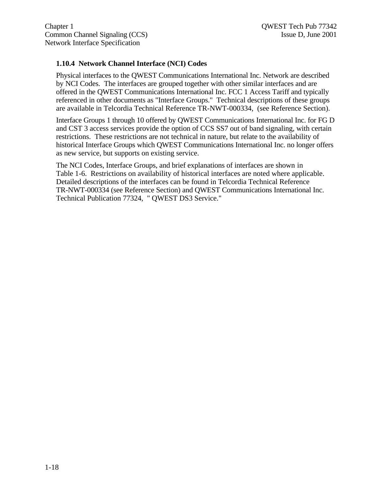# **1.10.4 Network Channel Interface (NCI) Codes**

Physical interfaces to the QWEST Communications International Inc. Network are described by NCI Codes. The interfaces are grouped together with other similar interfaces and are offered in the QWEST Communications International Inc. FCC 1 Access Tariff and typically referenced in other documents as "Interface Groups." Technical descriptions of these groups are available in Telcordia Technical Reference TR-NWT-000334, (see Reference Section).

Interface Groups 1 through 10 offered by QWEST Communications International Inc. for FG D and CST 3 access services provide the option of CCS SS7 out of band signaling, with certain restrictions. These restrictions are not technical in nature, but relate to the availability of historical Interface Groups which QWEST Communications International Inc. no longer offers as new service, but supports on existing service.

The NCI Codes, Interface Groups, and brief explanations of interfaces are shown in Table 1-6. Restrictions on availability of historical interfaces are noted where applicable. Detailed descriptions of the interfaces can be found in Telcordia Technical Reference TR-NWT-000334 (see Reference Section) and QWEST Communications International Inc. Technical Publication 77324, " QWEST DS3 Service."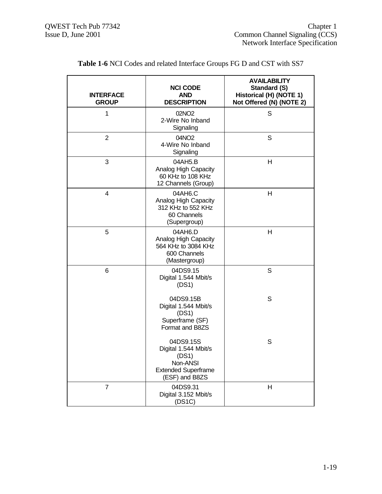| <b>INTERFACE</b><br><b>GROUP</b> | <b>NCI CODE</b><br><b>AND</b><br><b>DESCRIPTION</b>                                                    | <b>AVAILABILITY</b><br>Standard (S)<br>Historical (H) (NOTE 1)<br>Not Offered (N) (NOTE 2) |
|----------------------------------|--------------------------------------------------------------------------------------------------------|--------------------------------------------------------------------------------------------|
| 1                                | 02NO <sub>2</sub><br>2-Wire No Inband<br>Signaling                                                     | S                                                                                          |
| $\overline{2}$                   | 04NO2<br>4-Wire No Inband<br>Signaling                                                                 | S                                                                                          |
| 3                                | 04AH5.B<br>Analog High Capacity<br>60 KHz to 108 KHz<br>12 Channels (Group)                            | H                                                                                          |
| 4                                | 04AH6.C<br>Analog High Capacity<br>312 KHz to 552 KHz<br>60 Channels<br>(Supergroup)                   | Н                                                                                          |
| 5                                | 04AH6.D<br>Analog High Capacity<br>564 KHz to 3084 KHz<br>600 Channels<br>(Mastergroup)                | H                                                                                          |
| 6                                | 04DS9.15<br>Digital 1.544 Mbit/s<br>(DS1)                                                              | S                                                                                          |
|                                  | 04DS9.15B<br>Digital 1.544 Mbit/s<br>(DS1)<br>Superframe (SF)<br>Format and B8ZS                       | S                                                                                          |
|                                  | 04DS9.15S<br>Digital 1.544 Mbit/s<br>(DS1)<br>Non-ANSI<br><b>Extended Superframe</b><br>(ESF) and B8ZS | S                                                                                          |
| $\overline{7}$                   | 04DS9.31<br>Digital 3.152 Mbit/s<br>(DS1C)                                                             | H                                                                                          |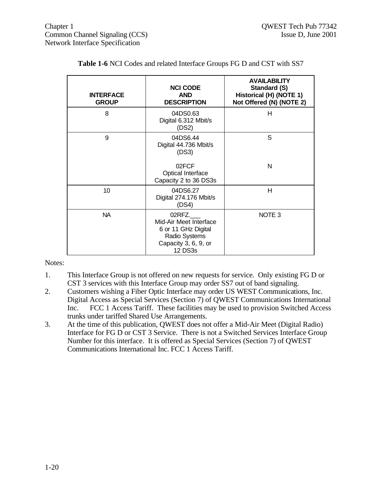| <b>INTERFACE</b><br><b>GROUP</b> | <b>NCI CODE</b><br><b>AND</b><br><b>DESCRIPTION</b>                                                         | <b>AVAILABILITY</b><br>Standard (S)<br>Historical (H) (NOTE 1)<br>Not Offered (N) (NOTE 2) |
|----------------------------------|-------------------------------------------------------------------------------------------------------------|--------------------------------------------------------------------------------------------|
| 8                                | 04DS0.63<br>Digital 6.312 Mbit/s<br>(DS2)                                                                   | н                                                                                          |
| 9                                | 04DS6.44<br>Digital 44.736 Mbit/s<br>(DS3)                                                                  | S                                                                                          |
|                                  | 02FCF<br>Optical Interface<br>Capacity 2 to 36 DS3s                                                         | N                                                                                          |
| 10                               | 04DS6.27<br>Digital 274.176 Mbit/s<br>(DS4)                                                                 | Н                                                                                          |
| NA.                              | 02RFZ.<br>Mid-Air Meet Interface<br>6 or 11 GHz Digital<br>Radio Systems<br>Capacity 3, 6, 9, or<br>12 DS3s | NOTE <sub>3</sub>                                                                          |

|  |  | Table 1-6 NCI Codes and related Interface Groups FG D and CST with SS7 |
|--|--|------------------------------------------------------------------------|
|--|--|------------------------------------------------------------------------|

Notes:

- 1. This Interface Group is not offered on new requests for service. Only existing FG D or CST 3 services with this Interface Group may order SS7 out of band signaling.
- 2. Customers wishing a Fiber Optic Interface may order US WEST Communications, Inc. Digital Access as Special Services (Section 7) of QWEST Communications International Inc. FCC 1 Access Tariff. These facilities may be used to provision Switched Access trunks under tariffed Shared Use Arrangements.
- 3. At the time of this publication, QWEST does not offer a Mid-Air Meet (Digital Radio) Interface for FG D or CST 3 Service. There is not a Switched Services Interface Group Number for this interface. It is offered as Special Services (Section 7) of QWEST Communications International Inc. FCC 1 Access Tariff.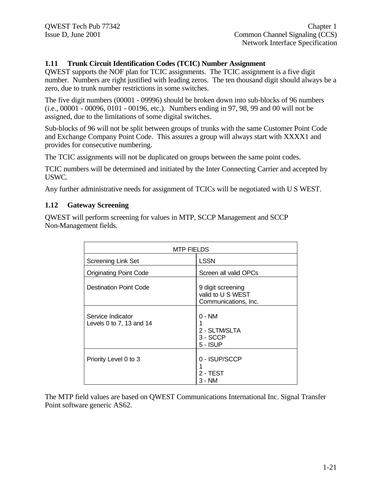#### **1.11 Trunk Circuit Identification Codes (TCIC) Number Assignment**

QWEST supports the NOF plan for TCIC assignments. The TCIC assignment is a five digit number. Numbers are right justified with leading zeros. The ten thousand digit should always be a zero, due to trunk number restrictions in some switches.

The five digit numbers (00001 - 09996) should be broken down into sub-blocks of 96 numbers (i.e., 00001 - 00096, 0101 - 00196, etc.). Numbers ending in 97, 98, 99 and 00 will not be assigned, due to the limitations of some digital switches.

Sub-blocks of 96 will not be split between groups of trunks with the same Customer Point Code and Exchange Company Point Code. This assures a group will always start with XXXX1 and provides for consecutive numbering.

The TCIC assignments will not be duplicated on groups between the same point codes.

TCIC numbers will be determined and initiated by the Inter Connecting Carrier and accepted by USWC.

Any further administrative needs for assignment of TCICs will be negotiated with U S WEST.

#### **1.12 Gateway Screening**

QWEST will perform screening for values in MTP, SCCP Management and SCCP Non-Management fields.

| <b>MTP FIELDS</b>                             |                                                                |  |
|-----------------------------------------------|----------------------------------------------------------------|--|
| <b>Screening Link Set</b>                     | <b>LSSN</b>                                                    |  |
| <b>Originating Point Code</b>                 | Screen all valid OPCs                                          |  |
| <b>Destination Point Code</b>                 | 9 digit screening<br>valid to U S WEST<br>Communications, Inc. |  |
| Service Indicator<br>Levels 0 to 7, 13 and 14 | $0 - NM$<br>2 - SLTM/SLTA<br>3 - SCCP<br>$5 - ISUP$            |  |
| Priority Level 0 to 3                         | 0 - ISUP/SCCP<br>2 - TEST<br>3 - NM                            |  |

The MTP field values are based on QWEST Communications International Inc. Signal Transfer Point software generic AS62.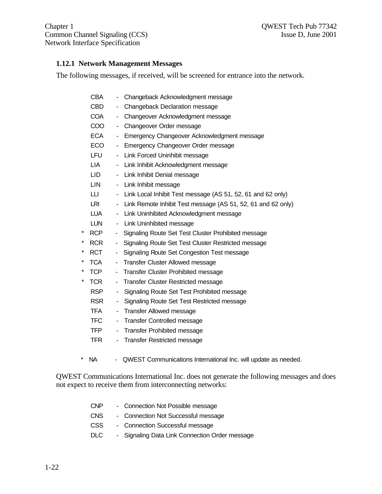Chapter 1 QWEST Tech Pub 77342 Common Channel Signaling (CCS) Issue D, June 2001 Network Interface Specification

#### **1.12.1 Network Management Messages**

The following messages, if received, will be screened for entrance into the network.

|   | <b>CBA</b> |                          | Changeback Acknowledgment message                            |
|---|------------|--------------------------|--------------------------------------------------------------|
|   | <b>CBD</b> | ۰                        | Changeback Declaration message                               |
|   | <b>COA</b> | ۰                        | Changeover Acknowledgment message                            |
|   | COO        | -                        | Changeover Order message                                     |
|   | ECA.       |                          | Emergency Changeover Acknowledgment message                  |
|   | <b>ECO</b> | -                        | Emergency Changeover Order message                           |
|   | <b>LFU</b> | ۰                        | Link Forced Uninhibit message                                |
|   | LIA.       | ۰                        | Link Inhibit Acknowledgment message                          |
|   | LID.       | ٠                        | Link Inhibit Denial message                                  |
|   | <b>LIN</b> | -                        | Link Inhibit message                                         |
|   | LLI.       | -                        | Link Local Inhibit Test message (AS 51, 52, 61 and 62 only)  |
|   | LRI        | -                        | Link Remote Inhibit Test message (AS 51, 52, 61 and 62 only) |
|   | <b>LUA</b> | $\blacksquare$           | Link Uninhibited Acknowledgment message                      |
|   | <b>LUN</b> | ۰                        | Link Uninhibited message                                     |
| * | <b>RCP</b> | ۰                        | Signaling Route Set Test Cluster Prohibited message          |
| * | <b>RCR</b> | ۰                        | Signaling Route Set Test Cluster Restricted message          |
| * | <b>RCT</b> | -                        | Signaling Route Set Congestion Test message                  |
| * | <b>TCA</b> | -                        | <b>Transfer Cluster Allowed message</b>                      |
| * | <b>TCP</b> | $\overline{\phantom{0}}$ | <b>Transfer Cluster Prohibited message</b>                   |
| * | <b>TCR</b> | ۰                        | <b>Transfer Cluster Restricted message</b>                   |
|   | <b>RSP</b> | ÷,                       | Signaling Route Set Test Prohibited message                  |
|   |            |                          |                                                              |

- RSR Signaling Route Set Test Restricted message
- TFA Transfer Allowed message
- TFC Transfer Controlled message
- TFP Transfer Prohibited message
- TFR Transfer Restricted message
- \* NA QWEST Communications International Inc. will update as needed.

QWEST Communications International Inc. does not generate the following messages and does not expect to receive them from interconnecting networks:

| <b>CNP</b> | - Connection Not Possible message              |
|------------|------------------------------------------------|
| CNS        | - Connection Not Successful message            |
| CSS.       | - Connection Successful message                |
| DLC        | - Signaling Data Link Connection Order message |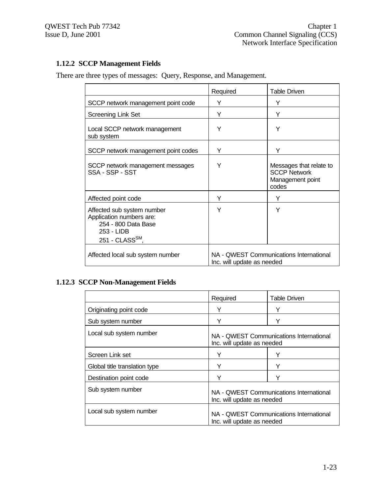# **1.12.2 SCCP Management Fields**

There are three types of messages: Query, Response, and Management.

|                                                                                                                          | Required                                                              | Table Driven                                                                |
|--------------------------------------------------------------------------------------------------------------------------|-----------------------------------------------------------------------|-----------------------------------------------------------------------------|
| SCCP network management point code                                                                                       | Y                                                                     | Y                                                                           |
| <b>Screening Link Set</b>                                                                                                | Y                                                                     | Y                                                                           |
| Local SCCP network management<br>sub system                                                                              | Υ                                                                     | Υ                                                                           |
| SCCP network management point codes                                                                                      | Y                                                                     | Y                                                                           |
| SCCP network management messages<br>SSA - SSP - SST                                                                      | Y                                                                     | Messages that relate to<br><b>SCCP Network</b><br>Management point<br>codes |
| Affected point code                                                                                                      | Υ                                                                     | Y                                                                           |
| Affected sub system number<br>Application numbers are:<br>254 - 800 Data Base<br>253 - LIDB<br>251 - CLASS $\text{SM}$ , | Y                                                                     | Y                                                                           |
| Affected local sub system number                                                                                         | NA - QWEST Communications International<br>Inc. will update as needed |                                                                             |

# **1.12.3 SCCP Non-Management Fields**

|                                                                                                  | Required                                                              | Table Driven |
|--------------------------------------------------------------------------------------------------|-----------------------------------------------------------------------|--------------|
| Originating point code                                                                           | Y                                                                     | Y            |
| Sub system number                                                                                | Υ                                                                     | Υ            |
| Local sub system number<br>NA - QWEST Communications International<br>Inc. will update as needed |                                                                       |              |
| Screen Link set                                                                                  | Υ                                                                     | v            |
| Global title translation type                                                                    |                                                                       |              |
| Destination point code                                                                           | Υ                                                                     |              |
| Sub system number                                                                                | NA - QWEST Communications International<br>Inc. will update as needed |              |
| Local sub system number                                                                          | NA - QWEST Communications International<br>Inc. will update as needed |              |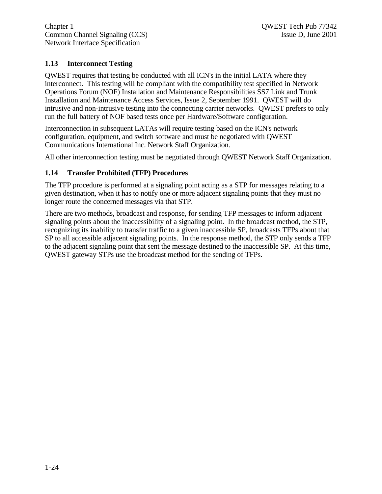Chapter 1 QWEST Tech Pub 77342 Common Channel Signaling (CCS) Issue D, June 2001 Network Interface Specification

#### **1.13 Interconnect Testing**

QWEST requires that testing be conducted with all ICN's in the initial LATA where they interconnect. This testing will be compliant with the compatibility test specified in Network Operations Forum (NOF) Installation and Maintenance Responsibilities SS7 Link and Trunk Installation and Maintenance Access Services, Issue 2, September 1991. QWEST will do intrusive and non-intrusive testing into the connecting carrier networks. QWEST prefers to only run the full battery of NOF based tests once per Hardware/Software configuration.

Interconnection in subsequent LATAs will require testing based on the ICN's network configuration, equipment, and switch software and must be negotiated with QWEST Communications International Inc. Network Staff Organization.

All other interconnection testing must be negotiated through QWEST Network Staff Organization.

#### **1.14 Transfer Prohibited (TFP) Procedures**

The TFP procedure is performed at a signaling point acting as a STP for messages relating to a given destination, when it has to notify one or more adjacent signaling points that they must no longer route the concerned messages via that STP.

There are two methods, broadcast and response, for sending TFP messages to inform adjacent signaling points about the inaccessibility of a signaling point. In the broadcast method, the STP, recognizing its inability to transfer traffic to a given inaccessible SP, broadcasts TFPs about that SP to all accessible adjacent signaling points. In the response method, the STP only sends a TFP to the adjacent signaling point that sent the message destined to the inaccessible SP. At this time, QWEST gateway STPs use the broadcast method for the sending of TFPs.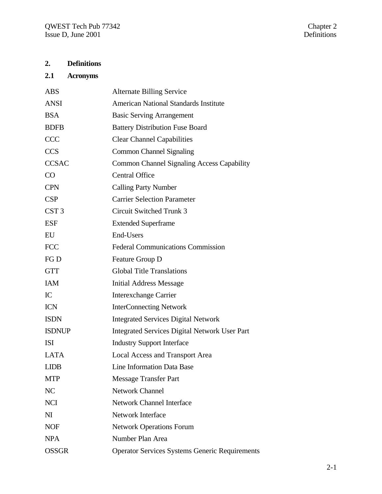# **2. Definitions**

# **2.1 Acronyms**

| <b>ABS</b>       | <b>Alternate Billing Service</b>                      |
|------------------|-------------------------------------------------------|
| <b>ANSI</b>      | <b>American National Standards Institute</b>          |
| <b>BSA</b>       | <b>Basic Serving Arrangement</b>                      |
| <b>BDFB</b>      | <b>Battery Distribution Fuse Board</b>                |
| <b>CCC</b>       | <b>Clear Channel Capabilities</b>                     |
| <b>CCS</b>       | <b>Common Channel Signaling</b>                       |
| <b>CCSAC</b>     | <b>Common Channel Signaling Access Capability</b>     |
| CO               | <b>Central Office</b>                                 |
| <b>CPN</b>       | <b>Calling Party Number</b>                           |
| <b>CSP</b>       | <b>Carrier Selection Parameter</b>                    |
| CST <sub>3</sub> | <b>Circuit Switched Trunk 3</b>                       |
| <b>ESF</b>       | <b>Extended Superframe</b>                            |
| EU               | End-Users                                             |
| <b>FCC</b>       | <b>Federal Communications Commission</b>              |
| FG D             | Feature Group D                                       |
| <b>GTT</b>       | <b>Global Title Translations</b>                      |
| <b>IAM</b>       | <b>Initial Address Message</b>                        |
| IC               | <b>Interexchange Carrier</b>                          |
| <b>ICN</b>       | <b>InterConnecting Network</b>                        |
| <b>ISDN</b>      | <b>Integrated Services Digital Network</b>            |
| <b>ISDNUP</b>    | Integrated Services Digital Network User Part         |
| <b>ISI</b>       | <b>Industry Support Interface</b>                     |
| <b>LATA</b>      | <b>Local Access and Transport Area</b>                |
| <b>LIDB</b>      | Line Information Data Base                            |
| <b>MTP</b>       | <b>Message Transfer Part</b>                          |
| NC               | <b>Network Channel</b>                                |
| <b>NCI</b>       | <b>Network Channel Interface</b>                      |
| N <sub>I</sub>   | Network Interface                                     |
| <b>NOF</b>       | <b>Network Operations Forum</b>                       |
| <b>NPA</b>       | Number Plan Area                                      |
| <b>OSSGR</b>     | <b>Operator Services Systems Generic Requirements</b> |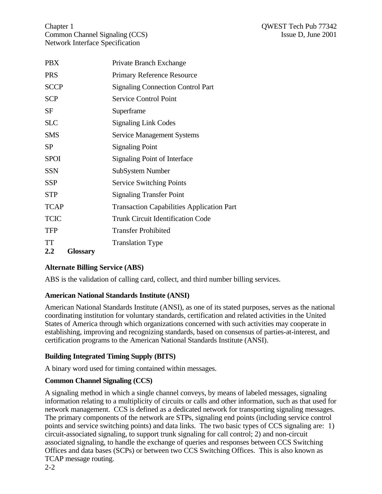Chapter 1 QWEST Tech Pub 77342 Common Channel Signaling (CCS) Issue D, June 2001 Network Interface Specification

| <b>PBX</b>             | Private Branch Exchange                          |
|------------------------|--------------------------------------------------|
| <b>PRS</b>             | <b>Primary Reference Resource</b>                |
| <b>SCCP</b>            | <b>Signaling Connection Control Part</b>         |
| <b>SCP</b>             | <b>Service Control Point</b>                     |
| SF                     | Superframe                                       |
| <b>SLC</b>             | <b>Signaling Link Codes</b>                      |
| <b>SMS</b>             | <b>Service Management Systems</b>                |
| <b>SP</b>              | <b>Signaling Point</b>                           |
| <b>SPOI</b>            | Signaling Point of Interface                     |
| <b>SSN</b>             | SubSystem Number                                 |
| <b>SSP</b>             | <b>Service Switching Points</b>                  |
| <b>STP</b>             | <b>Signaling Transfer Point</b>                  |
| <b>TCAP</b>            | <b>Transaction Capabilities Application Part</b> |
| <b>TCIC</b>            | <b>Trunk Circuit Identification Code</b>         |
| <b>TFP</b>             | <b>Transfer Prohibited</b>                       |
| TT                     | <b>Translation Type</b>                          |
| <b>Glossary</b><br>2.2 |                                                  |

# **Alternate Billing Service (ABS)**

ABS is the validation of calling card, collect, and third number billing services.

# **American National Standards Institute (ANSI)**

American National Standards Institute (ANSI), as one of its stated purposes, serves as the national coordinating institution for voluntary standards, certification and related activities in the United States of America through which organizations concerned with such activities may cooperate in establishing, improving and recognizing standards, based on consensus of parties-at-interest, and certification programs to the American National Standards Institute (ANSI).

# **Building Integrated Timing Supply (BITS)**

A binary word used for timing contained within messages.

# **Common Channel Signaling (CCS)**

A signaling method in which a single channel conveys, by means of labeled messages, signaling information relating to a multiplicity of circuits or calls and other information, such as that used for network management. CCS is defined as a dedicated network for transporting signaling messages. The primary components of the network are STPs, signaling end points (including service control points and service switching points) and data links. The two basic types of CCS signaling are: 1) circuit-associated signaling, to support trunk signaling for call control; 2) and non-circuit associated signaling, to handle the exchange of queries and responses between CCS Switching Offices and data bases (SCPs) or between two CCS Switching Offices. This is also known as TCAP message routing.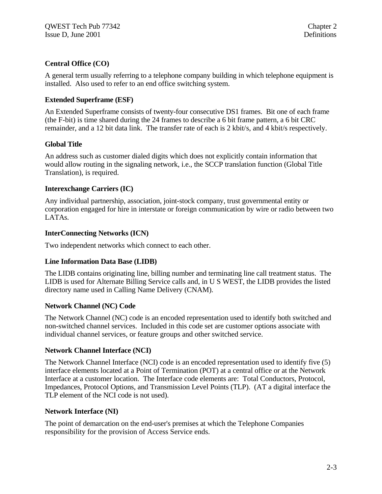# **Central Office (CO)**

A general term usually referring to a telephone company building in which telephone equipment is installed. Also used to refer to an end office switching system.

# **Extended Superframe (ESF)**

An Extended Superframe consists of twenty-four consecutive DS1 frames. Bit one of each frame (the F-bit) is time shared during the 24 frames to describe a 6 bit frame pattern, a 6 bit CRC remainder, and a 12 bit data link. The transfer rate of each is 2 kbit/s, and 4 kbit/s respectively.

#### **Global Title**

An address such as customer dialed digits which does not explicitly contain information that would allow routing in the signaling network, i.e., the SCCP translation function (Global Title Translation), is required.

#### **Interexchange Carriers (IC)**

Any individual partnership, association, joint-stock company, trust governmental entity or corporation engaged for hire in interstate or foreign communication by wire or radio between two LATAs.

#### **InterConnecting Networks (ICN)**

Two independent networks which connect to each other.

# **Line Information Data Base (LIDB)**

The LIDB contains originating line, billing number and terminating line call treatment status. The LIDB is used for Alternate Billing Service calls and, in U S WEST, the LIDB provides the listed directory name used in Calling Name Delivery (CNAM).

#### **Network Channel (NC) Code**

The Network Channel (NC) code is an encoded representation used to identify both switched and non-switched channel services. Included in this code set are customer options associate with individual channel services, or feature groups and other switched service.

# **Network Channel Interface (NCI)**

The Network Channel Interface (NCI) code is an encoded representation used to identify five (5) interface elements located at a Point of Termination (POT) at a central office or at the Network Interface at a customer location. The Interface code elements are: Total Conductors, Protocol, Impedances, Protocol Options, and Transmission Level Points (TLP). (AT a digital interface the TLP element of the NCI code is not used).

#### **Network Interface (NI)**

The point of demarcation on the end-user's premises at which the Telephone Companies responsibility for the provision of Access Service ends.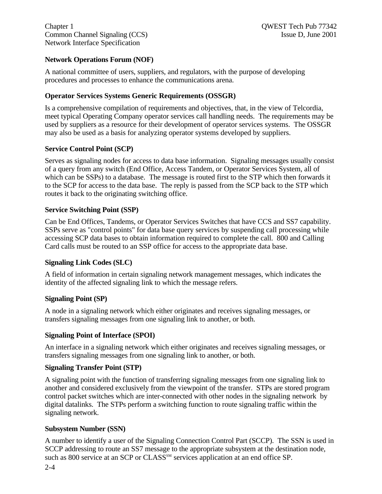# **Network Operations Forum (NOF)**

A national committee of users, suppliers, and regulators, with the purpose of developing procedures and processes to enhance the communications arena.

# **Operator Services Systems Generic Requirements (OSSGR)**

Is a comprehensive compilation of requirements and objectives, that, in the view of Telcordia, meet typical Operating Company operator services call handling needs. The requirements may be used by suppliers as a resource for their development of operator services systems. The OSSGR may also be used as a basis for analyzing operator systems developed by suppliers.

# **Service Control Point (SCP)**

Serves as signaling nodes for access to data base information. Signaling messages usually consist of a query from any switch (End Office, Access Tandem, or Operator Services System, all of which can be SSPs) to a database. The message is routed first to the STP which then forwards it to the SCP for access to the data base. The reply is passed from the SCP back to the STP which routes it back to the originating switching office.

#### **Service Switching Point (SSP)**

Can be End Offices, Tandems, or Operator Services Switches that have CCS and SS7 capability. SSPs serve as "control points" for data base query services by suspending call processing while accessing SCP data bases to obtain information required to complete the call. 800 and Calling Card calls must be routed to an SSP office for access to the appropriate data base.

# **Signaling Link Codes (SLC)**

A field of information in certain signaling network management messages, which indicates the identity of the affected signaling link to which the message refers.

# **Signaling Point (SP)**

A node in a signaling network which either originates and receives signaling messages, or transfers signaling messages from one signaling link to another, or both.

#### **Signaling Point of Interface (SPOI)**

An interface in a signaling network which either originates and receives signaling messages, or transfers signaling messages from one signaling link to another, or both.

# **Signaling Transfer Point (STP)**

A signaling point with the function of transferring signaling messages from one signaling link to another and considered exclusively from the viewpoint of the transfer. STPs are stored program control packet switches which are inter-connected with other nodes in the signaling network by digital datalinks. The STPs perform a switching function to route signaling traffic within the signaling network.

# **Subsystem Number (SSN)**

A number to identify a user of the Signaling Connection Control Part (SCCP). The SSN is used in SCCP addressing to route an SS7 message to the appropriate subsystem at the destination node, such as 800 service at an SCP or CLASS<sup>SM</sup> services application at an end office SP.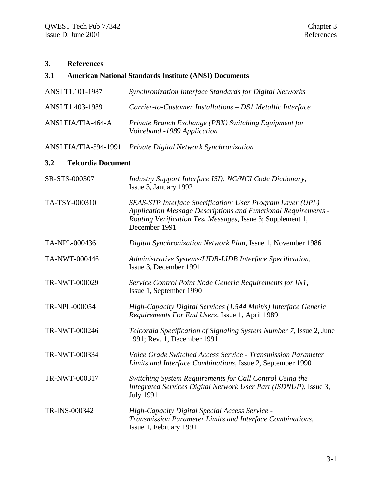# **3. References**

# **3.1 American National Standards Institute (ANSI) Documents**

| ANSI T1.101-1987                 | Synchronization Interface Standards for Digital Networks                                                                                                                                                    |  |
|----------------------------------|-------------------------------------------------------------------------------------------------------------------------------------------------------------------------------------------------------------|--|
| ANSI T1.403-1989                 | Carrier-to-Customer Installations - DS1 Metallic Interface                                                                                                                                                  |  |
| <b>ANSI EIA/TIA-464-A</b>        | Private Branch Exchange (PBX) Switching Equipment for<br>Voiceband -1989 Application                                                                                                                        |  |
| ANSI EIA/TIA-594-1991            | Private Digital Network Synchronization                                                                                                                                                                     |  |
| <b>Telcordia Document</b><br>3.2 |                                                                                                                                                                                                             |  |
| SR-STS-000307                    | Industry Support Interface ISI): NC/NCI Code Dictionary,<br>Issue 3, January 1992                                                                                                                           |  |
| TA-TSY-000310                    | SEAS-STP Interface Specification: User Program Layer (UPL)<br>Application Message Descriptions and Functional Requirements -<br>Routing Verification Test Messages, Issue 3; Supplement 1,<br>December 1991 |  |
| TA-NPL-000436                    | Digital Synchronization Network Plan, Issue 1, November 1986                                                                                                                                                |  |
| TA-NWT-000446                    | Administrative Systems/LIDB-LIDB Interface Specification,<br>Issue 3, December 1991                                                                                                                         |  |
| TR-NWT-000029                    | Service Control Point Node Generic Requirements for IN1,<br>Issue 1, September 1990                                                                                                                         |  |
| TR-NPL-000054                    | High-Capacity Digital Services (1.544 Mbit/s) Interface Generic<br>Requirements For End Users, Issue 1, April 1989                                                                                          |  |
| TR-NWT-000246                    | Telcordia Specification of Signaling System Number 7, Issue 2, June<br>1991; Rev. 1, December 1991                                                                                                          |  |
| TR-NWT-000334                    | Voice Grade Switched Access Service - Transmission Parameter<br>Limits and Interface Combinations, Issue 2, September 1990                                                                                  |  |
| TR-NWT-000317                    | Switching System Requirements for Call Control Using the<br>Integrated Services Digital Network User Part (ISDNUP), Issue 3,<br><b>July 1991</b>                                                            |  |
| TR-INS-000342                    | High-Capacity Digital Special Access Service -<br>Transmission Parameter Limits and Interface Combinations,<br>Issue 1, February 1991                                                                       |  |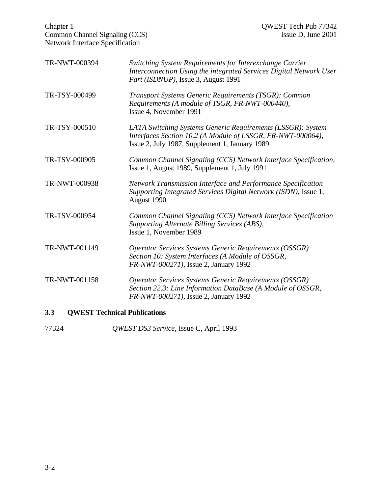| Chapter 1<br>Common Channel Signaling (CCS)<br><b>Network Interface Specification</b> |                                                                                                                                                                              | QWEST Tech Pub 77342<br>Issue D, June 2001 |
|---------------------------------------------------------------------------------------|------------------------------------------------------------------------------------------------------------------------------------------------------------------------------|--------------------------------------------|
| TR-NWT-000394                                                                         | Switching System Requirements for Interexchange Carrier<br>Interconnection Using the integrated Services Digital Network User<br>Part (ISDNUP), Issue 3, August 1991         |                                            |
| TR-TSY-000499                                                                         | Transport Systems Generic Requirements (TSGR): Common<br>Requirements (A module of TSGR, FR-NWT-000440),<br>Issue 4, November 1991                                           |                                            |
| TR-TSY-000510                                                                         | LATA Switching Systems Generic Requirements (LSSGR): System<br>Interfaces Section 10.2 (A Module of LSSGR, FR-NWT-000064),<br>Issue 2, July 1987, Supplement 1, January 1989 |                                            |
| TR-TSV-000905                                                                         | Common Channel Signaling (CCS) Network Interface Specification,<br>Issue 1, August 1989, Supplement 1, July 1991                                                             |                                            |
| TR-NWT-000938                                                                         | Network Transmission Interface and Performance Specification<br>Supporting Integrated Services Digital Network (ISDN), Issue 1,<br>August 1990                               |                                            |
| TR-TSV-000954                                                                         | Common Channel Signaling (CCS) Network Interface Specification<br>Supporting Alternate Billing Services (ABS),<br>Issue 1, November 1989                                     |                                            |
| TR-NWT-001149                                                                         | <b>Operator Services Systems Generic Requirements (OSSGR)</b><br>Section 10: System Interfaces (A Module of OSSGR,<br>FR-NWT-000271), Issue 2, January 1992                  |                                            |
| TR-NWT-001158                                                                         | <b>Operator Services Systems Generic Requirements (OSSGR)</b><br>Section 22.3: Line Information DataBase (A Module of OSSGR,<br>FR-NWT-000271), Issue 2, January 1992        |                                            |

# **3.3 QWEST Technical Publications**

77324 *QWEST DS3 Service,* Issue C, April 1993